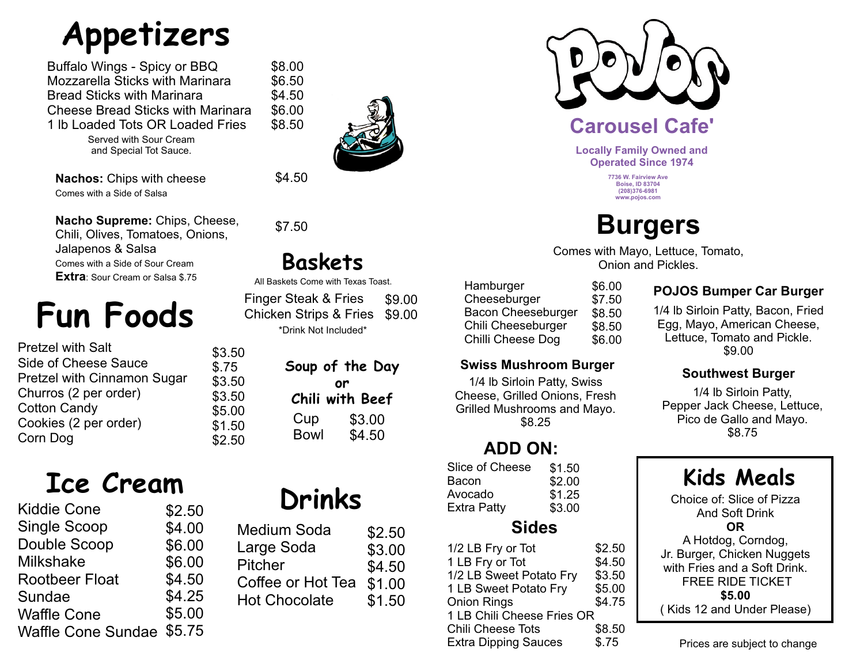# **Appetizers**

Buffalo Wings - Spicy or BBQ Mozzarella Sticks with Marinara Bread Sticks with Marinara Cheese Bread Sticks with Marinara 1 lb Loaded Tots OR Loaded Fries \$8.00 \$6.50 \$4.50 \$6.00 \$8.50

> Served with Sour Cream and Special Tot Sauce.

**Nachos:** Chips with cheese Comes with a Side of Salsa

\$4.50

**Nacho Supreme:** Chips, Cheese, Chili, Olives, Tomatoes, Onions, Jalapenos & Salsa Comes with a Side of Sour Cream **Extra**: Sour Cream or Salsa \$.75

# **Fun Foods**

| <b>Pretzel with Salt</b>    |  |
|-----------------------------|--|
| Side of Cheese Sauce        |  |
| Pretzel with Cinnamon Sugar |  |
| Churros (2 per order)       |  |
| <b>Cotton Candy</b>         |  |
| Cookies (2 per order)       |  |
| Corn Dog                    |  |
|                             |  |

# **Ice Cream Drinks**

| <b>Kiddie Cone</b>        | \$2.50 |
|---------------------------|--------|
| <b>Single Scoop</b>       | \$4.00 |
| Double Scoop              | \$6.00 |
| <b>Milkshake</b>          | \$6.00 |
| <b>Rootbeer Float</b>     | \$4.50 |
| Sundae                    | \$4.25 |
| <b>Waffle Cone</b>        | \$5.00 |
| <b>Waffle Cone Sundae</b> | \$5.75 |

| Medium Soda          | \$2.50 |
|----------------------|--------|
| Large Soda           | \$3.00 |
| <b>Pitcher</b>       | \$4.50 |
| Coffee or Hot Tea    | \$1.00 |
| <b>Hot Chocolate</b> | \$1.50 |



\$7.50

\$3.50 \$.75 \$3.50 \$3.50 \$5.00 \$1.50 \$2.50

## **Baskets**

All Baskets Come with Texas Toast.

\*Drink Not Included\* \$9.00 Chicken Strips & Fries \$9.00 Finger Steak & Fries

| Soup of the Day |
|-----------------|
| or              |
| Chili with Beef |
| \$3.00          |
| \$4.50          |
| <b>Bowl</b>     |



**Locally Family Owned and Operated Since 1974**

> **7736 W. Fairview Ave Boise, ID 83704 (208)376-6981 www.pojos.com**

## **Burgers**

Comes with Mayo, Lettuce, Tomato, Onion and Pickles.

| Hamburger          | \$6.00 |
|--------------------|--------|
| Cheeseburger       | \$7.50 |
| Bacon Cheeseburger | \$8.50 |
| Chili Cheeseburger | \$8.50 |
| Chilli Cheese Dog  | \$6.00 |

#### **Swiss Mushroom Burger**

1/4 lb Sirloin Patty, Swiss Cheese, Grilled Onions, Fresh Grilled Mushrooms and Mayo. \$8.25

### **ADD ON:**

Slice of Cheese Bacon Avocado Extra Patty \$1.50 \$2.00 \$1.25 \$3.00

### **Sides**

| 1/2 LB Fry or Tot           | \$2.50 |
|-----------------------------|--------|
| 1 LB Fry or Tot             | \$4.50 |
| 1/2 LB Sweet Potato Fry     | \$3.50 |
| 1 LB Sweet Potato Fry       | \$5.00 |
| <b>Onion Rings</b>          | \$4.75 |
| 1 LB Chili Cheese Fries OR  |        |
| <b>Chili Cheese Tots</b>    | \$8.50 |
| <b>Extra Dipping Sauces</b> | \$.75  |

#### **POJOS Bumper Car Burger**

1/4 lb Sirloin Patty, Bacon, Fried Egg, Mayo, American Cheese, Lettuce, Tomato and Pickle. \$9.00

#### **Southwest Burger**

1/4 lb Sirloin Patty, Pepper Jack Cheese, Lettuce, Pico de Gallo and Mayo. \$8.75

### **Kids Meals**

Choice of: Slice of Pizza And Soft Drink **OR** A Hotdog, Corndog, Jr. Burger, Chicken Nuggets with Fries and a Soft Drink. FREE RIDE TICKET **\$5.00** ( Kids 12 and Under Please)

Prices are subject to change